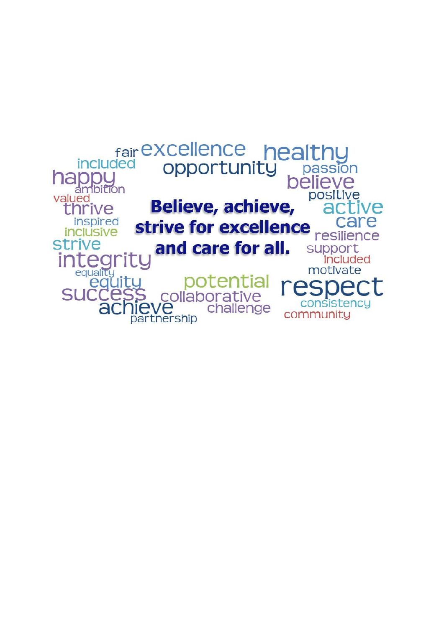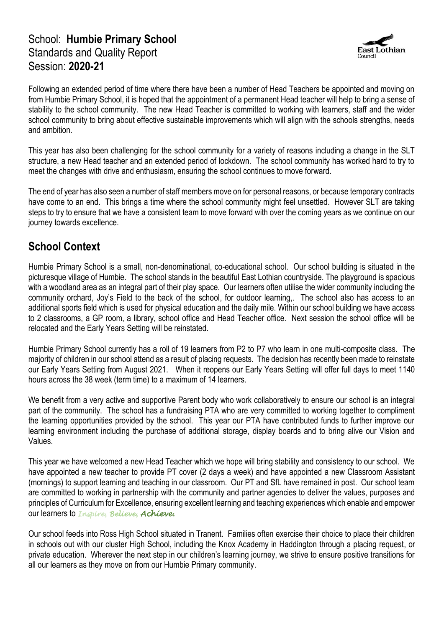#### School: **Humbie Primary School** Standards and Quality Report Session: **2020-21**



Following an extended period of time where there have been a number of Head Teachers be appointed and moving on from Humbie Primary School, it is hoped that the appointment of a permanent Head teacher will help to bring a sense of stability to the school community. The new Head Teacher is committed to working with learners, staff and the wider school community to bring about effective sustainable improvements which will align with the schools strengths, needs and ambition.

This year has also been challenging for the school community for a variety of reasons including a change in the SLT structure, a new Head teacher and an extended period of lockdown. The school community has worked hard to try to meet the changes with drive and enthusiasm, ensuring the school continues to move forward.

The end of year has also seen a number of staff members move on for personal reasons, or because temporary contracts have come to an end. This brings a time where the school community might feel unsettled. However SLT are taking steps to try to ensure that we have a consistent team to move forward with over the coming years as we continue on our journey towards excellence.

## **School Context**

Humbie Primary School is a small, non-denominational, co-educational school. Our school building is situated in the picturesque village of Humbie. The school stands in the beautiful East Lothian countryside. The playground is spacious with a woodland area as an integral part of their play space. Our learners often utilise the wider community including the community orchard, Joy's Field to the back of the school, for outdoor learning,. The school also has access to an additional sports field which is used for physical education and the daily mile. Within our school building we have access to 2 classrooms, a GP room, a library, school office and Head Teacher office. Next session the school office will be relocated and the Early Years Setting will be reinstated.

Humbie Primary School currently has a roll of 19 learners from P2 to P7 who learn in one multi-composite class. The majority of children in our school attend as a result of placing requests. The decision has recently been made to reinstate our Early Years Setting from August 2021. When it reopens our Early Years Setting will offer full days to meet 1140 hours across the 38 week (term time) to a maximum of 14 learners.

We benefit from a very active and supportive Parent body who work collaboratively to ensure our school is an integral part of the community. The school has a fundraising PTA who are very committed to working together to compliment the learning opportunities provided by the school. This year our PTA have contributed funds to further improve our learning environment including the purchase of additional storage, display boards and to bring alive our Vision and Values.

This year we have welcomed a new Head Teacher which we hope will bring stability and consistency to our school. We have appointed a new teacher to provide PT cover (2 days a week) and have appointed a new Classroom Assistant (mornings) to support learning and teaching in our classroom. Our PT and SfL have remained in post. Our school team are committed to working in partnership with the community and partner agencies to deliver the values, purposes and principles of Curriculum for Excellence, ensuring excellent learning and teaching experiences which enable and empower our learners to *Inspire, Believe, Achieve.*

Our school feeds into Ross High School situated in Tranent. Families often exercise their choice to place their children in schools out with our cluster High School, including the Knox Academy in Haddington through a placing request, or private education. Wherever the next step in our children's learning journey, we strive to ensure positive transitions for all our learners as they move on from our Humbie Primary community.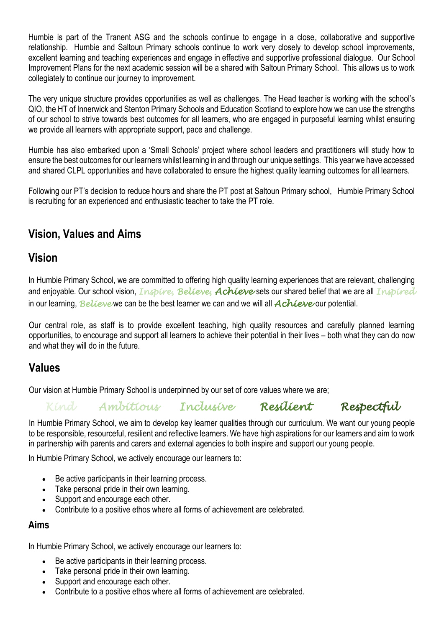Humbie is part of the Tranent ASG and the schools continue to engage in a close, collaborative and supportive relationship. Humbie and Saltoun Primary schools continue to work very closely to develop school improvements, excellent learning and teaching experiences and engage in effective and supportive professional dialogue. Our School Improvement Plans for the next academic session will be a shared with Saltoun Primary School. This allows us to work collegiately to continue our journey to improvement.

The very unique structure provides opportunities as well as challenges. The Head teacher is working with the school's QIO, the HT of Innerwick and Stenton Primary Schools and Education Scotland to explore how we can use the strengths of our school to strive towards best outcomes for all learners, who are engaged in purposeful learning whilst ensuring we provide all learners with appropriate support, pace and challenge.

Humbie has also embarked upon a 'Small Schools' project where school leaders and practitioners will study how to ensure the best outcomes for our learners whilst learning in and through our unique settings. This year we have accessed and shared CLPL opportunities and have collaborated to ensure the highest quality learning outcomes for all learners.

Following our PT's decision to reduce hours and share the PT post at Saltoun Primary school, Humbie Primary School is recruiting for an experienced and enthusiastic teacher to take the PT role.

## **Vision, Values and Aims**

#### **Vision**

In Humbie Primary School, we are committed to offering high quality learning experiences that are relevant, challenging and enjoyable. Our school vision, *Inspire, Believe, Achieve* sets our shared belief that we are all *Inspired*  in our learning, *Believe* we can be the best learner we can and we will all *Achieve* our potential.

Our central role, as staff is to provide excellent teaching, high quality resources and carefully planned learning opportunities, to encourage and support all learners to achieve their potential in their lives – both what they can do now and what they will do in the future.

#### **Values**

Our vision at Humbie Primary School is underpinned by our set of core values where we are;

*Kind Ambitious Inclusive Resilient Respectful* 

In Humbie Primary School, we aim to develop key learner qualities through our curriculum. We want our young people to be responsible, resourceful, resilient and reflective learners. We have high aspirations for our learners and aim to work in partnership with parents and carers and external agencies to both inspire and support our young people.

In Humbie Primary School, we actively encourage our learners to:

- Be active participants in their learning process.
- Take personal pride in their own learning.
- Support and encourage each other.
- Contribute to a positive ethos where all forms of achievement are celebrated.

#### **Aims**

In Humbie Primary School, we actively encourage our learners to:

- Be active participants in their learning process.
- Take personal pride in their own learning.
- Support and encourage each other.
- Contribute to a positive ethos where all forms of achievement are celebrated.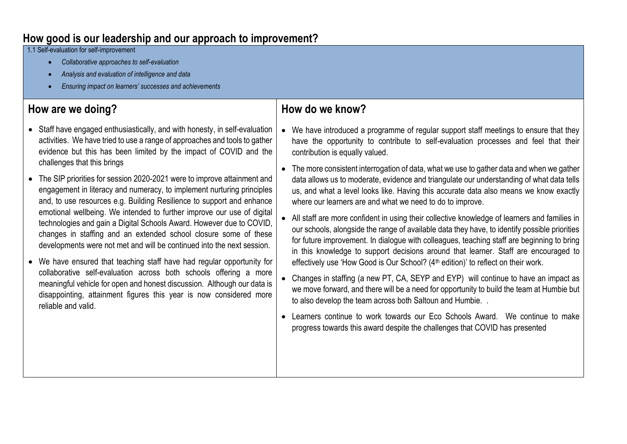## **How good is our leadership and our approach to improvement?**

1.1 Self-evaluation for self-improvement

- *Collaborative approaches to self-evaluation*
- *Analysis and evaluation of intelligence and data*
- *Ensuring impact on learners' successes and achievements*

## **How are we doing?**

- Staff have engaged enthusiastically, and with honesty, in self-evaluation activities. We have tried to use a range of approaches and tools to gather evidence but this has been limited by the impact of COVID and the challenges that this brings
- The SIP priorities for session 2020-2021 were to improve attainment and engagement in literacy and numeracy, to implement nurturing principles and, to use resources e.g. Building Resilience to support and enhance emotional wellbeing. We intended to further improve our use of digital technologies and gain a Digital Schools Award. However due to COVID, changes in staffing and an extended school closure some of these developments were not met and will be continued into the next session.
- We have ensured that teaching staff have had regular opportunity for collaborative self-evaluation across both schools offering a more meaningful vehicle for open and honest discussion. Although our data is disappointing, attainment figures this year is now considered more reliable and valid.

- We have introduced a programme of regular support staff meetings to ensure that they have the opportunity to contribute to self-evaluation processes and feel that their contribution is equally valued.
- The more consistent interrogation of data, what we use to gather data and when we gather data allows us to moderate, evidence and triangulate our understanding of what data tells us, and what a level looks like. Having this accurate data also means we know exactly where our learners are and what we need to do to improve.
- All staff are more confident in using their collective knowledge of learners and families in our schools, alongside the range of available data they have, to identify possible priorities for future improvement. In dialogue with colleagues, teaching staff are beginning to bring in this knowledge to support decisions around that learner. Staff are encouraged to effectively use 'How Good is Our School? (4<sup>th</sup> edition)' to reflect on their work.
- Changes in staffing (a new PT, CA, SEYP and EYP) will continue to have an impact as we move forward, and there will be a need for opportunity to build the team at Humbie but to also develop the team across both Saltoun and Humbie. .
- Learners continue to work towards our Eco Schools Award. We continue to make progress towards this award despite the challenges that COVID has presented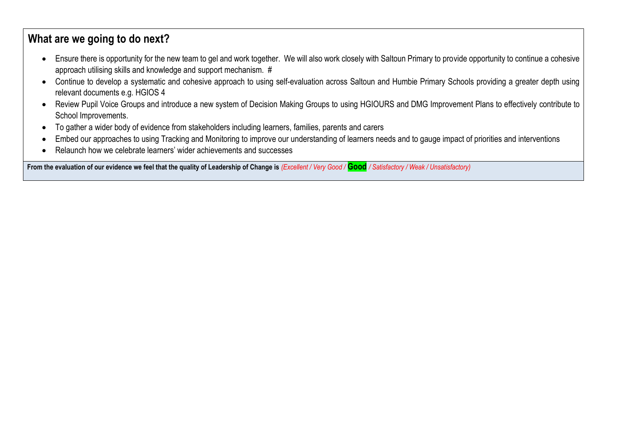- Ensure there is opportunity for the new team to gel and work together. We will also work closely with Saltoun Primary to provide opportunity to continue a cohesive approach utilising skills and knowledge and support mechanism. #
- Continue to develop a systematic and cohesive approach to using self-evaluation across Saltoun and Humbie Primary Schools providing a greater depth using relevant documents e.g. HGIOS 4
- Review Pupil Voice Groups and introduce a new system of Decision Making Groups to using HGIOURS and DMG Improvement Plans to effectively contribute to School Improvements.
- To gather a wider body of evidence from stakeholders including learners, families, parents and carers
- Embed our approaches to using Tracking and Monitoring to improve our understanding of learners needs and to gauge impact of priorities and interventions
- Relaunch how we celebrate learners' wider achievements and successes

**From the evaluation of our evidence we feel that the quality of Leadership of Change is** *(Excellent / Very Good /* **Good** */ Satisfactory / Weak / Unsatisfactory)*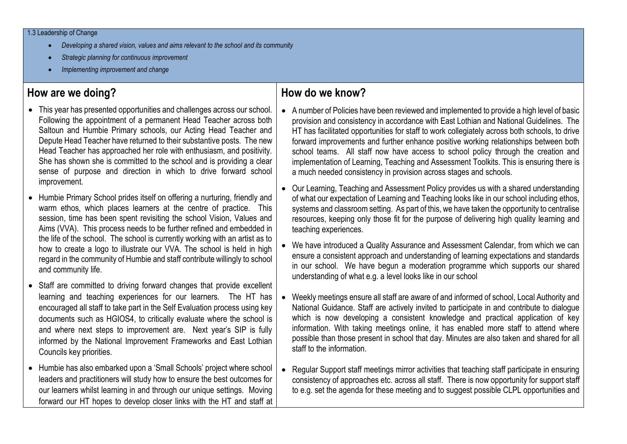- *Developing a shared vision, values and aims relevant to the school and its community*
- *Strategic planning for continuous improvement*
- *Implementing improvement and change*

## **How are we doing?**

- This year has presented opportunities and challenges across our school. Following the appointment of a permanent Head Teacher across both Saltoun and Humbie Primary schools, our Acting Head Teacher and Depute Head Teacher have returned to their substantive posts. The new Head Teacher has approached her role with enthusiasm, and positivity. She has shown she is committed to the school and is providing a clear sense of purpose and direction in which to drive forward school improvement.
- Humbie Primary School prides itself on offering a nurturing, friendly and warm ethos, which places learners at the centre of practice. This session, time has been spent revisiting the school Vision, Values and Aims (VVA). This process needs to be further refined and embedded in the life of the school. The school is currently working with an artist as to how to create a logo to illustrate our VVA. The school is held in high regard in the community of Humbie and staff contribute willingly to school and community life.
- Staff are committed to driving forward changes that provide excellent learning and teaching experiences for our learners. The HT has encouraged all staff to take part in the Self Evaluation process using key documents such as HGIOS4, to critically evaluate where the school is and where next steps to improvement are. Next year's SIP is fully informed by the National Improvement Frameworks and East Lothian Councils key priorities.
- Humbie has also embarked upon a 'Small Schools' project where school leaders and practitioners will study how to ensure the best outcomes for our learners whilst learning in and through our unique settings. Moving forward our HT hopes to develop closer links with the HT and staff at

- A number of Policies have been reviewed and implemented to provide a high level of basic provision and consistency in accordance with East Lothian and National Guidelines. The HT has facilitated opportunities for staff to work collegiately across both schools, to drive forward improvements and further enhance positive working relationships between both school teams. All staff now have access to school policy through the creation and implementation of Learning, Teaching and Assessment Toolkits. This is ensuring there is a much needed consistency in provision across stages and schools.
- Our Learning, Teaching and Assessment Policy provides us with a shared understanding of what our expectation of Learning and Teaching looks like in our school including ethos, systems and classroom setting. As part of this, we have taken the opportunity to centralise resources, keeping only those fit for the purpose of delivering high quality learning and teaching experiences.
- We have introduced a Quality Assurance and Assessment Calendar, from which we can ensure a consistent approach and understanding of learning expectations and standards in our school. We have begun a moderation programme which supports our shared understanding of what e.g. a level looks like in our school
- Weekly meetings ensure all staff are aware of and informed of school, Local Authority and National Guidance. Staff are actively invited to participate in and contribute to dialogue which is now developing a consistent knowledge and practical application of key information. With taking meetings online, it has enabled more staff to attend where possible than those present in school that day. Minutes are also taken and shared for all staff to the information.
- Regular Support staff meetings mirror activities that teaching staff participate in ensuring consistency of approaches etc. across all staff. There is now opportunity for support staff to e.g. set the agenda for these meeting and to suggest possible CLPL opportunities and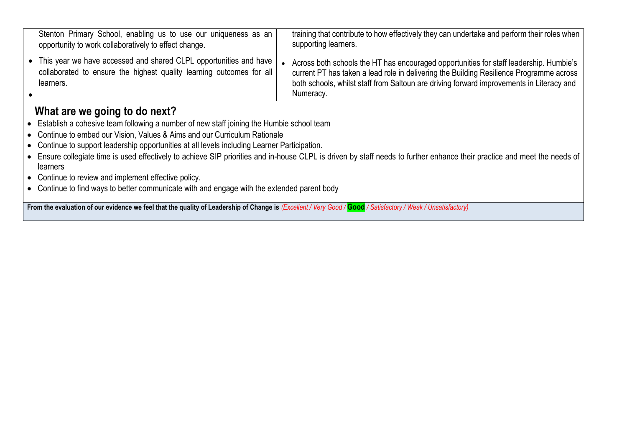| Stenton Primary School, enabling us to use our uniqueness as an<br>opportunity to work collaboratively to effect change.                                 | training that contribute to how effectively they can undertake and perform their roles when<br>supporting learners.                                                                                                                                                                        |
|----------------------------------------------------------------------------------------------------------------------------------------------------------|--------------------------------------------------------------------------------------------------------------------------------------------------------------------------------------------------------------------------------------------------------------------------------------------|
| • This year we have accessed and shared CLPL opportunities and have<br>collaborated to ensure the highest quality learning outcomes for all<br>learners. | Across both schools the HT has encouraged opportunities for staff leadership. Humbie's<br>current PT has taken a lead role in delivering the Building Resilience Programme across<br>both schools, whilst staff from Saltoun are driving forward improvements in Literacy and<br>Numeracy. |

- Establish a cohesive team following a number of new staff joining the Humbie school team
- Continue to embed our Vision, Values & Aims and our Curriculum Rationale
- Continue to support leadership opportunities at all levels including Learner Participation.
- Ensure collegiate time is used effectively to achieve SIP priorities and in-house CLPL is driven by staff needs to further enhance their practice and meet the needs of learners
- Continue to review and implement effective policy.
- Continue to find ways to better communicate with and engage with the extended parent body

**From the evaluation of our evidence we feel that the quality of Leadership of Change is** *(Excellent / Very Good /* **Good** */ Satisfactory / Weak / Unsatisfactory)*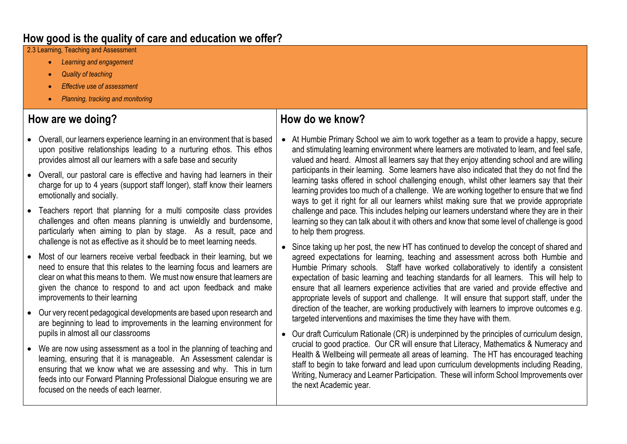2.3 Learning, Teaching and Assessment

- *Learning and engagement*
- *Quality of teaching*
- *Effective use of assessment*
- *Planning, tracking and monitoring*

## **How are we doing?**

- Overall, our learners experience learning in an environment that is based upon positive relationships leading to a nurturing ethos. This ethos provides almost all our learners with a safe base and security
- Overall, our pastoral care is effective and having had learners in their charge for up to 4 years (support staff longer), staff know their learners emotionally and socially.
- Teachers report that planning for a multi composite class provides challenges and often means planning is unwieldly and burdensome, particularly when aiming to plan by stage. As a result, pace and challenge is not as effective as it should be to meet learning needs.
- Most of our learners receive verbal feedback in their learning, but we need to ensure that this relates to the learning focus and learners are clear on what this means to them. We must now ensure that learners are given the chance to respond to and act upon feedback and make improvements to their learning
- Our very recent pedagogical developments are based upon research and are beginning to lead to improvements in the learning environment for pupils in almost all our classrooms
- We are now using assessment as a tool in the planning of teaching and learning, ensuring that it is manageable. An Assessment calendar is ensuring that we know what we are assessing and why. This in turn feeds into our Forward Planning Professional Dialogue ensuring we are focused on the needs of each learner.

- At Humbie Primary School we aim to work together as a team to provide a happy, secure and stimulating learning environment where learners are motivated to learn, and feel safe, valued and heard. Almost all learners say that they enjoy attending school and are willing participants in their learning. Some learners have also indicated that they do not find the learning tasks offered in school challenging enough, whilst other learners say that their learning provides too much of a challenge. We are working together to ensure that we find ways to get it right for all our learners whilst making sure that we provide appropriate challenge and pace. This includes helping our learners understand where they are in their learning so they can talk about it with others and know that some level of challenge is good to help them progress.
- Since taking up her post, the new HT has continued to develop the concept of shared and agreed expectations for learning, teaching and assessment across both Humbie and Humbie Primary schools. Staff have worked collaboratively to identify a consistent expectation of basic learning and teaching standards for all learners. This will help to ensure that all learners experience activities that are varied and provide effective and appropriate levels of support and challenge. It will ensure that support staff, under the direction of the teacher, are working productively with learners to improve outcomes e.g. targeted interventions and maximises the time they have with them.
- Our draft Curriculum Rationale (CR) is underpinned by the principles of curriculum design, crucial to good practice. Our CR will ensure that Literacy, Mathematics & Numeracy and Health & Wellbeing will permeate all areas of learning. The HT has encouraged teaching staff to begin to take forward and lead upon curriculum developments including Reading, Writing, Numeracy and Learner Participation. These will inform School Improvements over the next Academic year.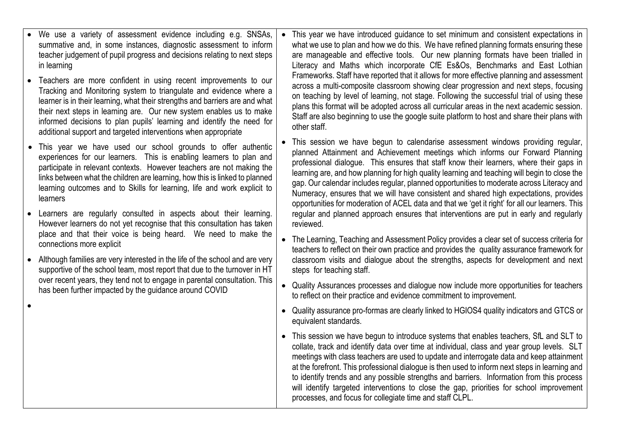| We use a variety of assessment evidence including e.g. SNSAs,<br>summative and, in some instances, diagnostic assessment to inform<br>teacher judgement of pupil progress and decisions relating to next steps<br>in learning                                                                                                                                                                                                           | $\bullet$ | This year we have introduced guidance to set minimum and consistent expectations in<br>what we use to plan and how we do this. We have refined planning formats ensuring these<br>are manageable and effective tools. Our new planning formats have been trialled in<br>Literacy and Maths which incorporate CfE Es&Os, Benchmarks and East Lothian<br>Frameworks. Staff have reported that it allows for more effective planning and assessment                                                                                                                                                                                                       |
|-----------------------------------------------------------------------------------------------------------------------------------------------------------------------------------------------------------------------------------------------------------------------------------------------------------------------------------------------------------------------------------------------------------------------------------------|-----------|--------------------------------------------------------------------------------------------------------------------------------------------------------------------------------------------------------------------------------------------------------------------------------------------------------------------------------------------------------------------------------------------------------------------------------------------------------------------------------------------------------------------------------------------------------------------------------------------------------------------------------------------------------|
| Teachers are more confident in using recent improvements to our<br>Tracking and Monitoring system to triangulate and evidence where a<br>learner is in their learning, what their strengths and barriers are and what<br>their next steps in learning are. Our new system enables us to make<br>informed decisions to plan pupils' learning and identify the need for<br>additional support and targeted interventions when appropriate |           | across a multi-composite classroom showing clear progression and next steps, focusing<br>on teaching by level of learning, not stage. Following the successful trial of using these<br>plans this format will be adopted across all curricular areas in the next academic session.<br>Staff are also beginning to use the google suite platform to host and share their plans with<br>other staff.                                                                                                                                                                                                                                                     |
| This year we have used our school grounds to offer authentic<br>experiences for our learners. This is enabling learners to plan and<br>participate in relevant contexts. However teachers are not making the<br>links between what the children are learning, how this is linked to planned<br>learning outcomes and to Skills for learning, life and work explicit to<br>learners                                                      |           | This session we have begun to calendarise assessment windows providing regular,<br>planned Attainment and Achievement meetings which informs our Forward Planning<br>professional dialogue. This ensures that staff know their learners, where their gaps in<br>learning are, and how planning for high quality learning and teaching will begin to close the<br>gap. Our calendar includes regular, planned opportunities to moderate across Literacy and<br>Numeracy, ensures that we will have consistent and shared high expectations, provides<br>opportunities for moderation of ACEL data and that we 'get it right' for all our learners. This |
| Learners are regularly consulted in aspects about their learning.<br>However learners do not yet recognise that this consultation has taken<br>place and that their voice is being heard. We need to make the                                                                                                                                                                                                                           |           | regular and planned approach ensures that interventions are put in early and regularly<br>reviewed.                                                                                                                                                                                                                                                                                                                                                                                                                                                                                                                                                    |
| connections more explicit                                                                                                                                                                                                                                                                                                                                                                                                               |           | • The Learning, Teaching and Assessment Policy provides a clear set of success criteria for<br>teachers to reflect on their own practice and provides the quality assurance framework for                                                                                                                                                                                                                                                                                                                                                                                                                                                              |
| Although families are very interested in the life of the school and are very<br>supportive of the school team, most report that due to the turnover in HT<br>over recent years, they tend not to engage in parental consultation. This                                                                                                                                                                                                  |           | classroom visits and dialogue about the strengths, aspects for development and next<br>steps for teaching staff.                                                                                                                                                                                                                                                                                                                                                                                                                                                                                                                                       |
| has been further impacted by the guidance around COVID                                                                                                                                                                                                                                                                                                                                                                                  | $\bullet$ | Quality Assurances processes and dialogue now include more opportunities for teachers<br>to reflect on their practice and evidence commitment to improvement.                                                                                                                                                                                                                                                                                                                                                                                                                                                                                          |
|                                                                                                                                                                                                                                                                                                                                                                                                                                         |           | • Quality assurance pro-formas are clearly linked to HGIOS4 quality indicators and GTCS or<br>equivalent standards.                                                                                                                                                                                                                                                                                                                                                                                                                                                                                                                                    |
|                                                                                                                                                                                                                                                                                                                                                                                                                                         |           | • This session we have begun to introduce systems that enables teachers, SfL and SLT to<br>collate, track and identify data over time at individual, class and year group levels. SLT<br>meetings with class teachers are used to update and interrogate data and keep attainment<br>at the forefront. This professional dialogue is then used to inform next steps in learning and<br>to identify trends and any possible strengths and barriers. Information from this process<br>will identify targeted interventions to close the gap, priorities for school improvement<br>processes, and focus for collegiate time and staff CLPL.               |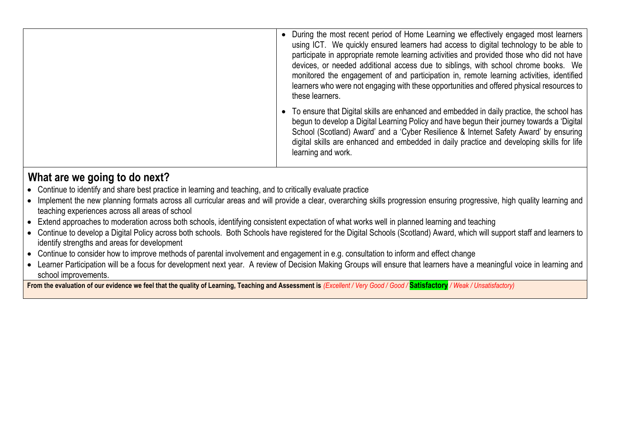| During the most recent period of Home Learning we effectively engaged most learners<br>using ICT. We quickly ensured learners had access to digital technology to be able to<br>participate in appropriate remote learning activities and provided those who did not have<br>devices, or needed additional access due to siblings, with school chrome books. We<br>monitored the engagement of and participation in, remote learning activities, identified<br>learners who were not engaging with these opportunities and offered physical resources to<br>these learners. |
|-----------------------------------------------------------------------------------------------------------------------------------------------------------------------------------------------------------------------------------------------------------------------------------------------------------------------------------------------------------------------------------------------------------------------------------------------------------------------------------------------------------------------------------------------------------------------------|
| To ensure that Digital skills are enhanced and embedded in daily practice, the school has<br>begun to develop a Digital Learning Policy and have begun their journey towards a 'Digital<br>School (Scotland) Award' and a 'Cyber Resilience & Internet Safety Award' by ensuring<br>digital skills are enhanced and embedded in daily practice and developing skills for life<br>learning and work.                                                                                                                                                                         |

- Continue to identify and share best practice in learning and teaching, and to critically evaluate practice
- Implement the new planning formats across all curricular areas and will provide a clear, overarching skills progression ensuring progressive, high quality learning and teaching experiences across all areas of school
- Extend approaches to moderation across both schools, identifying consistent expectation of what works well in planned learning and teaching
- Continue to develop a Digital Policy across both schools. Both Schools have registered for the Digital Schools (Scotland) Award, which will support staff and learners to identify strengths and areas for development
- Continue to consider how to improve methods of parental involvement and engagement in e.g. consultation to inform and effect change
- Learner Participation will be a focus for development next year. A review of Decision Making Groups will ensure that learners have a meaningful voice in learning and school improvements.

**From the evaluation of our evidence we feel that the quality of Learning, Teaching and Assessment is** *(Excellent / Very Good / Good /* **Satisfactory** */ Weak / Unsatisfactory)*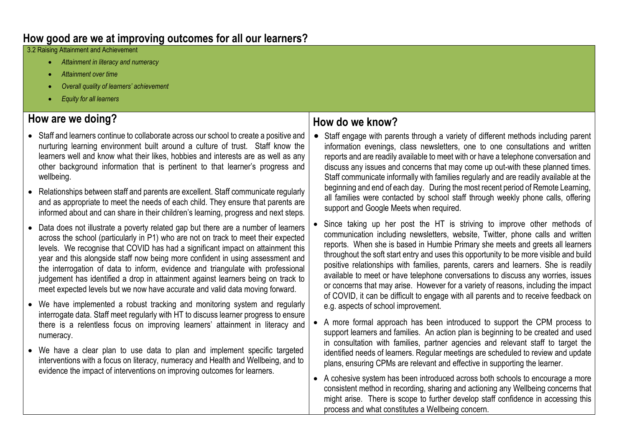#### **How good are we at improving outcomes for all our learners?**

3.2 Raising Attainment and Achievement

- *Attainment in literacy and numeracy*
- *Attainment over time*
- *Overall quality of learners' achievement*
- *Equity for all learners*

## **How are we doing?**

- Staff and learners continue to collaborate across our school to create a positive and nurturing learning environment built around a culture of trust. Staff know the learners well and know what their likes, hobbies and interests are as well as any other background information that is pertinent to that learner's progress and wellbeing.
- Relationships between staff and parents are excellent. Staff communicate regularly and as appropriate to meet the needs of each child. They ensure that parents are informed about and can share in their children's learning, progress and next steps.
- Data does not illustrate a poverty related gap but there are a number of learners across the school (particularly in P1) who are not on track to meet their expected levels. We recognise that COVID has had a significant impact on attainment this year and this alongside staff now being more confident in using assessment and the interrogation of data to inform, evidence and triangulate with professional judgement has identified a drop in attainment against learners being on track to meet expected levels but we now have accurate and valid data moving forward.
- We have implemented a robust tracking and monitoring system and regularly interrogate data. Staff meet regularly with HT to discuss learner progress to ensure there is a relentless focus on improving learners' attainment in literacy and numeracy.
- We have a clear plan to use data to plan and implement specific targeted interventions with a focus on literacy, numeracy and Health and Wellbeing, and to evidence the impact of interventions on improving outcomes for learners.

- Staff engage with parents through a variety of different methods including parent information evenings, class newsletters, one to one consultations and written reports and are readily available to meet with or have a telephone conversation and discuss any issues and concerns that may come up out-with these planned times. Staff communicate informally with families regularly and are readily available at the beginning and end of each day. During the most recent period of Remote Learning, all families were contacted by school staff through weekly phone calls, offering support and Google Meets when required.
- Since taking up her post the HT is striving to improve other methods of communication including newsletters, website, Twitter, phone calls and written reports. When she is based in Humbie Primary she meets and greets all learners throughout the soft start entry and uses this opportunity to be more visible and build positive relationships with families, parents, carers and learners. She is readily available to meet or have telephone conversations to discuss any worries, issues or concerns that may arise. However for a variety of reasons, including the impact of COVID, it can be difficult to engage with all parents and to receive feedback on e.g. aspects of school improvement.
- A more formal approach has been introduced to support the CPM process to support learners and families. An action plan is beginning to be created and used in consultation with families, partner agencies and relevant staff to target the identified needs of learners. Regular meetings are scheduled to review and update plans, ensuring CPMs are relevant and effective in supporting the learner.
- A cohesive system has been introduced across both schools to encourage a more consistent method in recording, sharing and actioning any Wellbeing concerns that might arise. There is scope to further develop staff confidence in accessing this process and what constitutes a Wellbeing concern.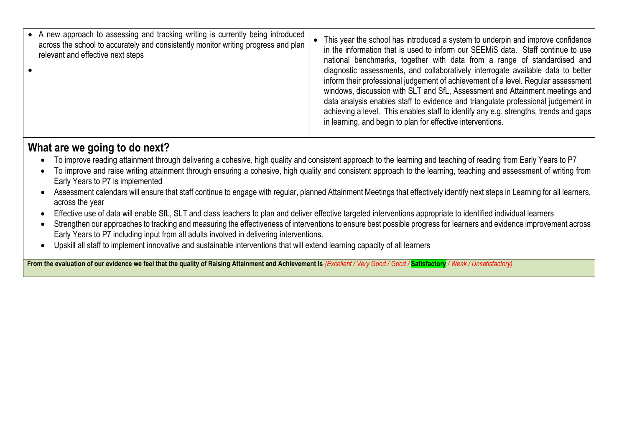| • A new approach to assessing and tracking writing is currently being introduced<br>across the school to accurately and consistently monitor writing progress and plan<br>relevant and effective next steps | This year the school has introduced a system to underpin and improve confidence<br>in the information that is used to inform our SEEMiS data. Staff continue to use<br>national benchmarks, together with data from a range of standardised and<br>diagnostic assessments, and collaboratively interrogate available data to better<br>inform their professional judgement of achievement of a level. Regular assessment<br>windows, discussion with SLT and SfL, Assessment and Attainment meetings and<br>data analysis enables staff to evidence and triangulate professional judgement in<br>achieving a level. This enables staff to identify any e.g. strengths, trends and gaps<br>in learning, and begin to plan for effective interventions. |
|-------------------------------------------------------------------------------------------------------------------------------------------------------------------------------------------------------------|-------------------------------------------------------------------------------------------------------------------------------------------------------------------------------------------------------------------------------------------------------------------------------------------------------------------------------------------------------------------------------------------------------------------------------------------------------------------------------------------------------------------------------------------------------------------------------------------------------------------------------------------------------------------------------------------------------------------------------------------------------|
|-------------------------------------------------------------------------------------------------------------------------------------------------------------------------------------------------------------|-------------------------------------------------------------------------------------------------------------------------------------------------------------------------------------------------------------------------------------------------------------------------------------------------------------------------------------------------------------------------------------------------------------------------------------------------------------------------------------------------------------------------------------------------------------------------------------------------------------------------------------------------------------------------------------------------------------------------------------------------------|

- To improve reading attainment through delivering a cohesive, high quality and consistent approach to the learning and teaching of reading from Early Years to P7
- To improve and raise writing attainment through ensuring a cohesive, high quality and consistent approach to the learning, teaching and assessment of writing from Early Years to P7 is implemented
- Assessment calendars will ensure that staff continue to engage with regular, planned Attainment Meetings that effectively identify next steps in Learning for all learners, across the year
- Effective use of data will enable SfL, SLT and class teachers to plan and deliver effective targeted interventions appropriate to identified individual learners
- Strengthen our approaches to tracking and measuring the effectiveness of interventions to ensure best possible progress for learners and evidence improvement across Early Years to P7 including input from all adults involved in delivering interventions.
- Upskill all staff to implement innovative and sustainable interventions that will extend learning capacity of all learners

**From the evaluation of our evidence we feel that the quality of Raising Attainment and Achievement is** *(Excellent / Very Good / Good /* **Satisfactory** */ Weak / Unsatisfactory)*